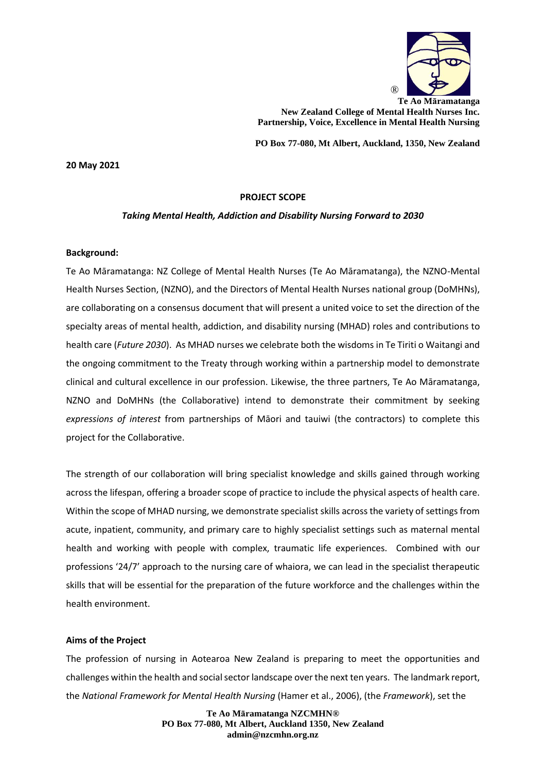

**Te Ao Māramatanga New Zealand College of Mental Health Nurses Inc. Partnership, Voice, Excellence in Mental Health Nursing**

**PO Box 77-080, Mt Albert, Auckland, 1350, New Zealand**

**20 May 2021**

### **PROJECT SCOPE**

### *Taking Mental Health, Addiction and Disability Nursing Forward to 2030*

#### **Background:**

Te Ao Māramatanga: NZ College of Mental Health Nurses (Te Ao Māramatanga), the NZNO-Mental Health Nurses Section, (NZNO), and the Directors of Mental Health Nurses national group (DoMHNs), are collaborating on a consensus document that will present a united voice to set the direction of the specialty areas of mental health, addiction, and disability nursing (MHAD) roles and contributions to health care (*Future 2030*). As MHAD nurses we celebrate both the wisdoms in Te Tiriti o Waitangi and the ongoing commitment to the Treaty through working within a partnership model to demonstrate clinical and cultural excellence in our profession. Likewise, the three partners, Te Ao Māramatanga, NZNO and DoMHNs (the Collaborative) intend to demonstrate their commitment by seeking *expressions of interest* from partnerships of Māori and tauiwi (the contractors) to complete this project for the Collaborative.

The strength of our collaboration will bring specialist knowledge and skills gained through working across the lifespan, offering a broader scope of practice to include the physical aspects of health care. Within the scope of MHAD nursing, we demonstrate specialist skills across the variety of settings from acute, inpatient, community, and primary care to highly specialist settings such as maternal mental health and working with people with complex, traumatic life experiences. Combined with our professions '24/7' approach to the nursing care of whaiora, we can lead in the specialist therapeutic skills that will be essential for the preparation of the future workforce and the challenges within the health environment.

### **Aims of the Project**

The profession of nursing in Aotearoa New Zealand is preparing to meet the opportunities and challenges within the health and social sector landscape over the next ten years. The landmark report, the *National Framework for Mental Health Nursing* (Hamer et al., 2006), (the *Framework*), set the

> **Te Ao Māramatanga NZCMHN® PO Box 77-080, Mt Albert, Auckland 1350, New Zealand admin@nzcmhn.org.nz**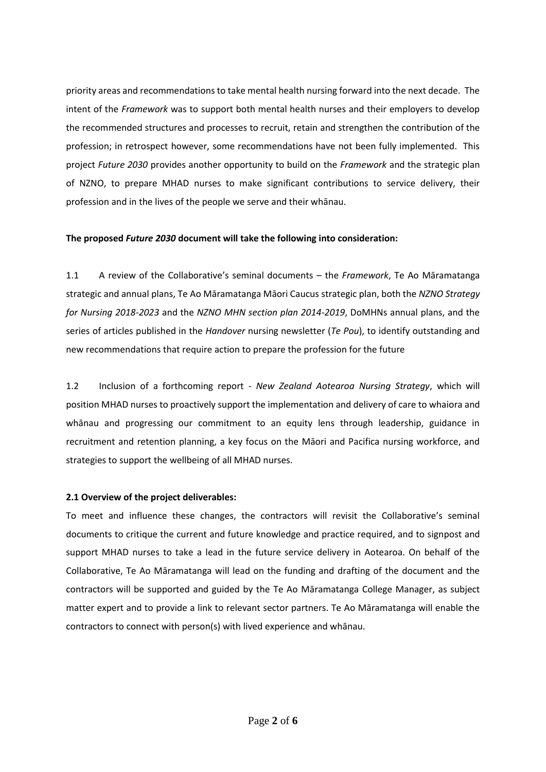priority areas and recommendations to take mental health nursing forward into the next decade. The intent of the *Framework* was to support both mental health nurses and their employers to develop the recommended structures and processes to recruit, retain and strengthen the contribution of the profession; in retrospect however, some recommendations have not been fully implemented. This project *Future 2030* provides another opportunity to build on the *Framework* and the strategic plan of NZNO, to prepare MHAD nurses to make significant contributions to service delivery, their profession and in the lives of the people we serve and their whānau.

## **The proposed** *Future 2030* **document will take the following into consideration:**

1.1 A review of the Collaborative's seminal documents – the *Framework*, Te Ao Māramatanga strategic and annual plans, Te Ao Māramatanga Māori Caucus strategic plan, both the *NZNO Strategy for Nursing 2018-2023* and the *NZNO MHN section plan 2014-2019*, DoMHNs annual plans, and the series of articles published in the *Handover* nursing newsletter (*Te Pou*), to identify outstanding and new recommendations that require action to prepare the profession for the future

1.2 Inclusion of a forthcoming report - *New Zealand Aotearoa Nursing Strategy*, which will position MHAD nurses to proactively support the implementation and delivery of care to whaiora and whānau and progressing our commitment to an equity lens through leadership, guidance in recruitment and retention planning, a key focus on the Māori and Pacifica nursing workforce, and strategies to support the wellbeing of all MHAD nurses.

# **2.1 Overview of the project deliverables:**

To meet and influence these changes, the contractors will revisit the Collaborative's seminal documents to critique the current and future knowledge and practice required, and to signpost and support MHAD nurses to take a lead in the future service delivery in Aotearoa. On behalf of the Collaborative, Te Ao Māramatanga will lead on the funding and drafting of the document and the contractors will be supported and guided by the Te Ao Māramatanga College Manager, as subject matter expert and to provide a link to relevant sector partners. Te Ao Māramatanga will enable the contractors to connect with person(s) with lived experience and whānau.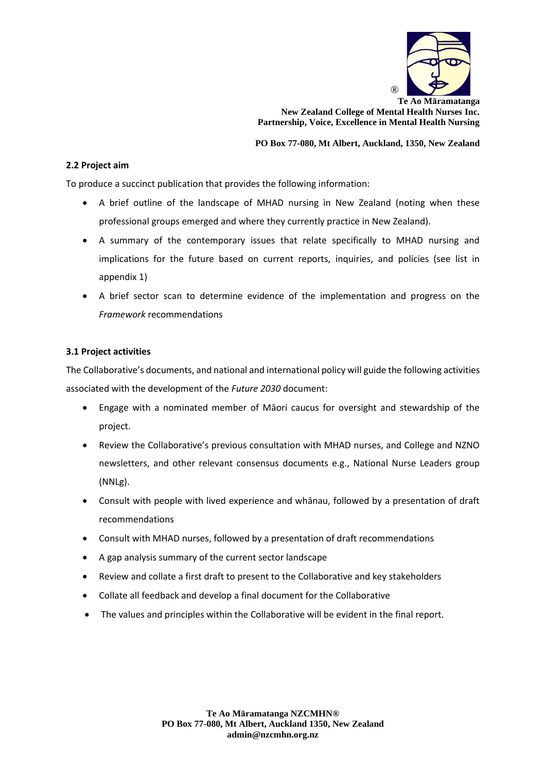

**Te Ao Māramatanga New Zealand College of Mental Health Nurses Inc. Partnership, Voice, Excellence in Mental Health Nursing**

**PO Box 77-080, Mt Albert, Auckland, 1350, New Zealand**

## **2.2 Project aim**

To produce a succinct publication that provides the following information:

- A brief outline of the landscape of MHAD nursing in New Zealand (noting when these professional groups emerged and where they currently practice in New Zealand).
- A summary of the contemporary issues that relate specifically to MHAD nursing and implications for the future based on current reports, inquiries, and policies (see list in appendix 1)
- A brief sector scan to determine evidence of the implementation and progress on the *Framework* recommendations

## **3.1 Project activities**

The Collaborative's documents, and national and international policy will guide the following activities associated with the development of the *Future 2030* document:

- Engage with a nominated member of Māori caucus for oversight and stewardship of the project.
- Review the Collaborative's previous consultation with MHAD nurses, and College and NZNO newsletters, and other relevant consensus documents e.g., National Nurse Leaders group (NNLg).
- Consult with people with lived experience and whānau, followed by a presentation of draft recommendations
- Consult with MHAD nurses, followed by a presentation of draft recommendations
- A gap analysis summary of the current sector landscape
- Review and collate a first draft to present to the Collaborative and key stakeholders
- Collate all feedback and develop a final document for the Collaborative
- The values and principles within the Collaborative will be evident in the final report.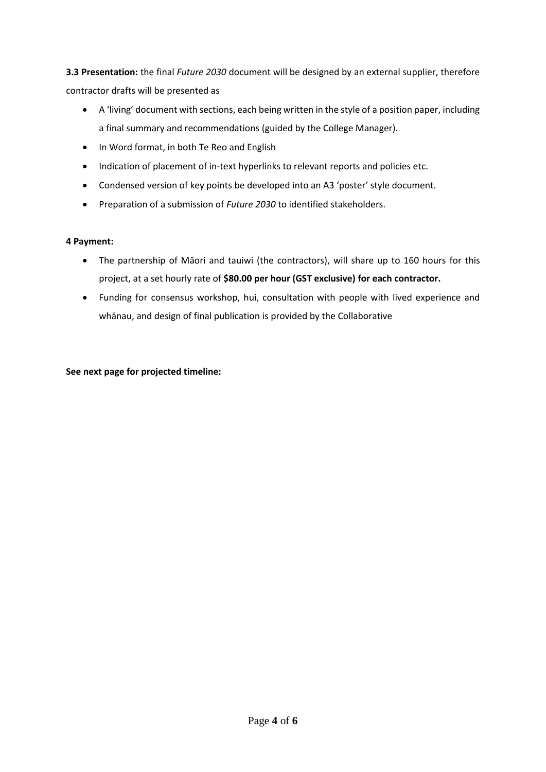**3.3 Presentation:** the final *Future 2030* document will be designed by an external supplier, therefore contractor drafts will be presented as

- A 'living' document with sections, each being written in the style of a position paper, including a final summary and recommendations (guided by the College Manager).
- In Word format, in both Te Reo and English
- Indication of placement of in-text hyperlinks to relevant reports and policies etc.
- Condensed version of key points be developed into an A3 'poster' style document.
- Preparation of a submission of *Future 2030* to identified stakeholders.

# **4 Payment:**

- The partnership of Māori and tauiwi (the contractors), will share up to 160 hours for this project, at a set hourly rate of **\$80.00 per hour (GST exclusive) for each contractor.**
- Funding for consensus workshop, hui, consultation with people with lived experience and whānau, and design of final publication is provided by the Collaborative

**See next page for projected timeline:**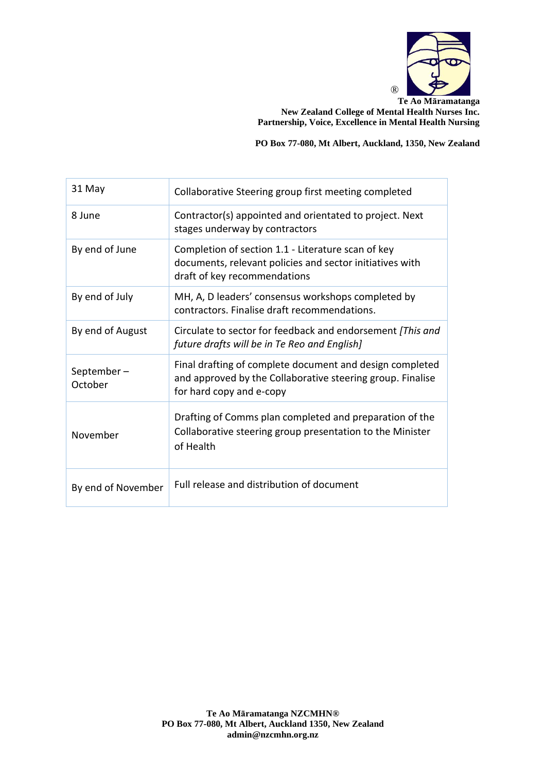

**Te Ao Māramatanga New Zealand College of Mental Health Nurses Inc. Partnership, Voice, Excellence in Mental Health Nursing**

**PO Box 77-080, Mt Albert, Auckland, 1350, New Zealand**

| 31 May                | Collaborative Steering group first meeting completed                                                                                               |
|-----------------------|----------------------------------------------------------------------------------------------------------------------------------------------------|
| 8 June                | Contractor(s) appointed and orientated to project. Next<br>stages underway by contractors                                                          |
| By end of June        | Completion of section 1.1 - Literature scan of key<br>documents, relevant policies and sector initiatives with<br>draft of key recommendations     |
| By end of July        | MH, A, D leaders' consensus workshops completed by<br>contractors. Finalise draft recommendations.                                                 |
| By end of August      | Circulate to sector for feedback and endorsement [This and<br>future drafts will be in Te Reo and English]                                         |
| September-<br>October | Final drafting of complete document and design completed<br>and approved by the Collaborative steering group. Finalise<br>for hard copy and e-copy |
| November              | Drafting of Comms plan completed and preparation of the<br>Collaborative steering group presentation to the Minister<br>of Health                  |
| By end of November    | Full release and distribution of document                                                                                                          |